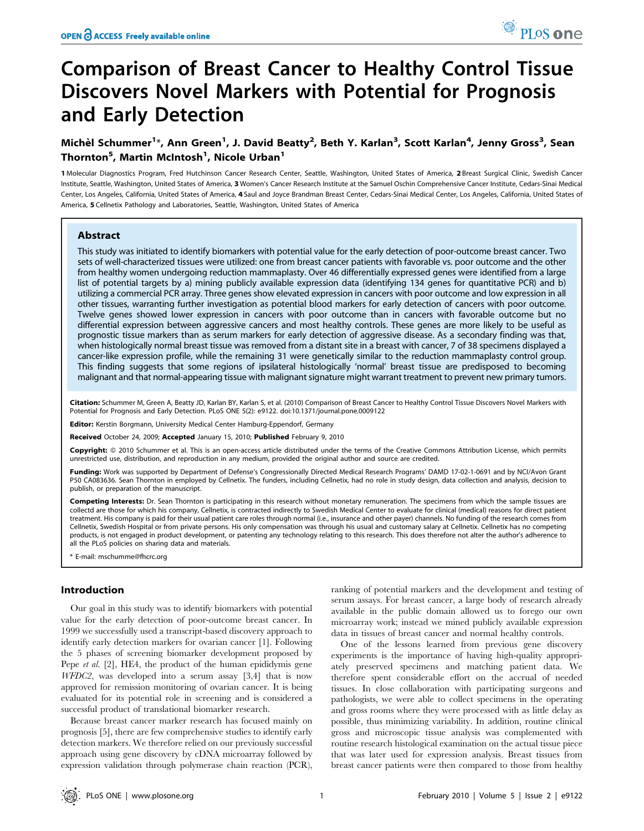# Comparison of Breast Cancer to Healthy Control Tissue Discovers Novel Markers with Potential for Prognosis and Early Detection

# Michèl Schummer<sup>1</sup>\*, Ann Green<sup>1</sup>, J. David Beatty<sup>2</sup>, Beth Y. Karlan<sup>3</sup>, Scott Karlan<sup>4</sup>, Jenny Gross<sup>3</sup>, Sean Thornton<sup>5</sup>, Martin McIntosh<sup>1</sup>, Nicole Urban<sup>1</sup>

1 Molecular Diagnostics Program, Fred Hutchinson Cancer Research Center, Seattle, Washington, United States of America, 2 Breast Surgical Clinic, Swedish Cancer Institute, Seattle, Washington, United States of America, 3 Women's Cancer Research Institute at the Samuel Oschin Comprehensive Cancer Institute, Cedars-Sinai Medical Center, Los Angeles, California, United States of America, 4 Saul and Joyce Brandman Breast Center, Cedars-Sinai Medical Center, Los Angeles, California, United States of America, 5 Cellnetix Pathology and Laboratories, Seattle, Washington, United States of America

## Abstract

This study was initiated to identify biomarkers with potential value for the early detection of poor-outcome breast cancer. Two sets of well-characterized tissues were utilized: one from breast cancer patients with favorable vs. poor outcome and the other from healthy women undergoing reduction mammaplasty. Over 46 differentially expressed genes were identified from a large list of potential targets by a) mining publicly available expression data (identifying 134 genes for quantitative PCR) and b) utilizing a commercial PCR array. Three genes show elevated expression in cancers with poor outcome and low expression in all other tissues, warranting further investigation as potential blood markers for early detection of cancers with poor outcome. Twelve genes showed lower expression in cancers with poor outcome than in cancers with favorable outcome but no differential expression between aggressive cancers and most healthy controls. These genes are more likely to be useful as prognostic tissue markers than as serum markers for early detection of aggressive disease. As a secondary finding was that, when histologically normal breast tissue was removed from a distant site in a breast with cancer, 7 of 38 specimens displayed a cancer-like expression profile, while the remaining 31 were genetically similar to the reduction mammaplasty control group. This finding suggests that some regions of ipsilateral histologically 'normal' breast tissue are predisposed to becoming malignant and that normal-appearing tissue with malignant signature might warrant treatment to prevent new primary tumors.

Citation: Schummer M, Green A, Beatty JD, Karlan BY, Karlan S, et al. (2010) Comparison of Breast Cancer to Healthy Control Tissue Discovers Novel Markers with Potential for Prognosis and Early Detection. PLoS ONE 5(2): e9122. doi:10.1371/journal.pone.0009122

Editor: Kerstin Borgmann, University Medical Center Hamburg-Eppendorf, Germany

Received October 24, 2009; Accepted January 15, 2010; Published February 9, 2010

Copyright: © 2010 Schummer et al. This is an open-access article distributed under the terms of the Creative Commons Attribution License, which permits unrestricted use, distribution, and reproduction in any medium, provided the original author and source are credited.

Funding: Work was supported by Department of Defense's Congressionally Directed Medical Research Programs' DAMD 17-02-1-0691 and by NCI/Avon Grant P50 CA083636. Sean Thornton in employed by Cellnetix. The funders, including Cellnetix, had no role in study design, data collection and analysis, decision to publish, or preparation of the manuscript.

Competing Interests: Dr. Sean Thornton is participating in this research without monetary remuneration. The specimens from which the sample tissues are collectd are those for which his company, Cellnetix, is contracted indirectly to Swedish Medical Center to evaluate for clinical (medical) reasons for direct patient treatment. His company is paid for their usual patient care roles through normal (i.e., insurance and other payer) channels. No funding of the research comes from Cellnetix, Swedish Hospital or from private persons. His only compensation was through his usual and customary salary at Cellnetix. Cellnetix has no competing products, is not engaged in product development, or patenting any technology relating to this research. This does therefore not alter the author's adherence to all the PLoS policies on sharing data and materials.

\* E-mail: mschumme@fhcrc.org

# Introduction

Our goal in this study was to identify biomarkers with potential value for the early detection of poor-outcome breast cancer. In 1999 we successfully used a transcript-based discovery approach to identify early detection markers for ovarian cancer [1]. Following the 5 phases of screening biomarker development proposed by Pepe et al. [2], HE4, the product of the human epididymis gene WFDC2, was developed into a serum assay [3,4] that is now approved for remission monitoring of ovarian cancer. It is being evaluated for its potential role in screening and is considered a successful product of translational biomarker research.

Because breast cancer marker research has focused mainly on prognosis [5], there are few comprehensive studies to identify early detection markers. We therefore relied on our previously successful approach using gene discovery by cDNA microarray followed by expression validation through polymerase chain reaction (PCR),

ranking of potential markers and the development and testing of serum assays. For breast cancer, a large body of research already available in the public domain allowed us to forego our own microarray work; instead we mined publicly available expression data in tissues of breast cancer and normal healthy controls.

One of the lessons learned from previous gene discovery experiments is the importance of having high-quality appropriately preserved specimens and matching patient data. We therefore spent considerable effort on the accrual of needed tissues. In close collaboration with participating surgeons and pathologists, we were able to collect specimens in the operating and gross rooms where they were processed with as little delay as possible, thus minimizing variability. In addition, routine clinical gross and microscopic tissue analysis was complemented with routine research histological examination on the actual tissue piece that was later used for expression analysis. Breast tissues from breast cancer patients were then compared to those from healthy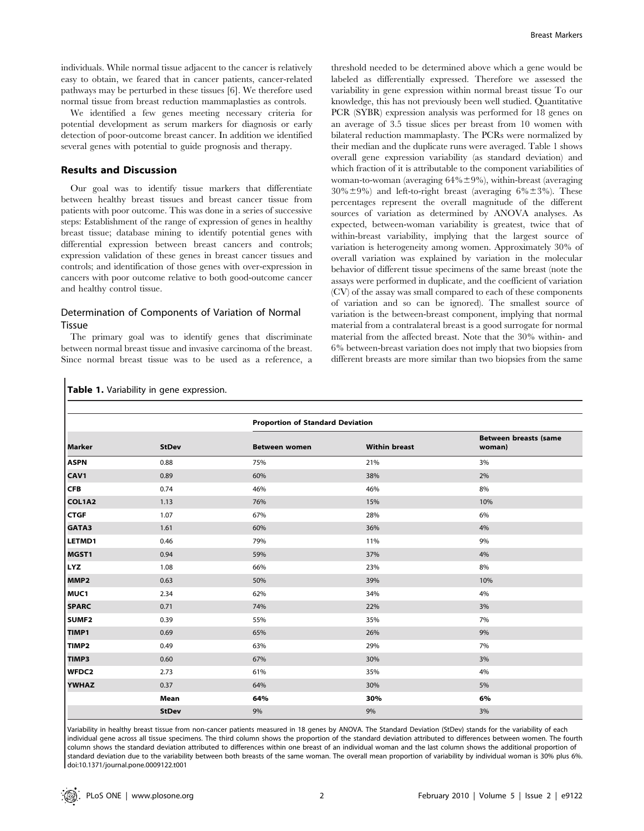individuals. While normal tissue adjacent to the cancer is relatively easy to obtain, we feared that in cancer patients, cancer-related pathways may be perturbed in these tissues [6]. We therefore used normal tissue from breast reduction mammaplasties as controls.

We identified a few genes meeting necessary criteria for potential development as serum markers for diagnosis or early detection of poor-outcome breast cancer. In addition we identified several genes with potential to guide prognosis and therapy.

#### Results and Discussion

Our goal was to identify tissue markers that differentiate between healthy breast tissues and breast cancer tissue from patients with poor outcome. This was done in a series of successive steps: Establishment of the range of expression of genes in healthy breast tissue; database mining to identify potential genes with differential expression between breast cancers and controls; expression validation of these genes in breast cancer tissues and controls; and identification of those genes with over-expression in cancers with poor outcome relative to both good-outcome cancer and healthy control tissue.

# Determination of Components of Variation of Normal Tissue

Table 1. Variability in gene expression.

The primary goal was to identify genes that discriminate between normal breast tissue and invasive carcinoma of the breast. Since normal breast tissue was to be used as a reference, a threshold needed to be determined above which a gene would be labeled as differentially expressed. Therefore we assessed the variability in gene expression within normal breast tissue To our knowledge, this has not previously been well studied. Quantitative PCR (SYBR) expression analysis was performed for 18 genes on an average of 3.5 tissue slices per breast from 10 women with bilateral reduction mammaplasty. The PCRs were normalized by their median and the duplicate runs were averaged. Table 1 shows overall gene expression variability (as standard deviation) and which fraction of it is attributable to the component variabilities of woman-to-woman (averaging  $64\% \pm 9\%$ ), within-breast (averaging  $30\% \pm 9\%$  and left-to-right breast (averaging 6% $\pm 3\%$ ). These percentages represent the overall magnitude of the different sources of variation as determined by ANOVA analyses. As expected, between-woman variability is greatest, twice that of within-breast variability, implying that the largest source of variation is heterogeneity among women. Approximately 30% of overall variation was explained by variation in the molecular behavior of different tissue specimens of the same breast (note the assays were performed in duplicate, and the coefficient of variation (CV) of the assay was small compared to each of these components of variation and so can be ignored). The smallest source of variation is the between-breast component, implying that normal material from a contralateral breast is a good surrogate for normal material from the affected breast. Note that the 30% within- and 6% between-breast variation does not imply that two biopsies from different breasts are more similar than two biopsies from the same

|                   |              | <b>Proportion of Standard Deviation</b> |                      |                                 |  |  |  |
|-------------------|--------------|-----------------------------------------|----------------------|---------------------------------|--|--|--|
| Marker            | <b>StDev</b> | <b>Between women</b>                    | <b>Within breast</b> | Between breasts (same<br>woman) |  |  |  |
| <b>ASPN</b>       | 0.88         | 75%                                     | 21%                  | 3%                              |  |  |  |
| CAV1              | 0.89         | 60%                                     | 38%                  | 2%                              |  |  |  |
| <b>CFB</b>        | 0.74         | 46%                                     | 46%                  | 8%                              |  |  |  |
| COL1A2            | 1.13         | 76%                                     | 15%                  | 10%                             |  |  |  |
| <b>CTGF</b>       | 1.07         | 67%                                     | 28%                  | 6%                              |  |  |  |
| GATA3             | 1.61         | 60%                                     | 36%                  | 4%                              |  |  |  |
| LETMD1            | 0.46         | 79%                                     | 11%                  | 9%                              |  |  |  |
| MGST1             | 0.94         | 59%                                     | 37%                  | 4%                              |  |  |  |
| <b>LYZ</b>        | 1.08         | 66%                                     | 23%                  | 8%                              |  |  |  |
| MMP <sub>2</sub>  | 0.63         | 50%                                     | 39%                  | 10%                             |  |  |  |
| MUC1              | 2.34         | 62%                                     | 34%                  | 4%                              |  |  |  |
| <b>SPARC</b>      | 0.71         | 74%                                     | 22%                  | 3%                              |  |  |  |
| SUMF <sub>2</sub> | 0.39         | 55%                                     | 35%                  | 7%                              |  |  |  |
| TIMP1             | 0.69         | 65%                                     | 26%                  | 9%                              |  |  |  |
| TIMP <sub>2</sub> | 0.49         | 63%                                     | 29%                  | 7%                              |  |  |  |
| TIMP3             | 0.60         | 67%                                     | 30%                  | 3%                              |  |  |  |
| <b>WFDC2</b>      | 2.73         | 61%                                     | 35%                  | 4%                              |  |  |  |
| <b>YWHAZ</b>      | 0.37         | 64%                                     | 30%                  | 5%                              |  |  |  |
|                   | Mean         | 64%                                     | 30%                  | 6%                              |  |  |  |
|                   | <b>StDev</b> | 9%                                      | 9%                   | 3%                              |  |  |  |

Variability in healthy breast tissue from non-cancer patients measured in 18 genes by ANOVA. The Standard Deviation (StDev) stands for the variability of each individual gene across all tissue specimens. The third column shows the proportion of the standard deviation attributed to differences between women. The fourth column shows the standard deviation attributed to differences within one breast of an individual woman and the last column shows the additional proportion of standard deviation due to the variability between both breasts of the same woman. The overall mean proportion of variability by individual woman is 30% plus 6%. doi:10.1371/journal.pone.0009122.t001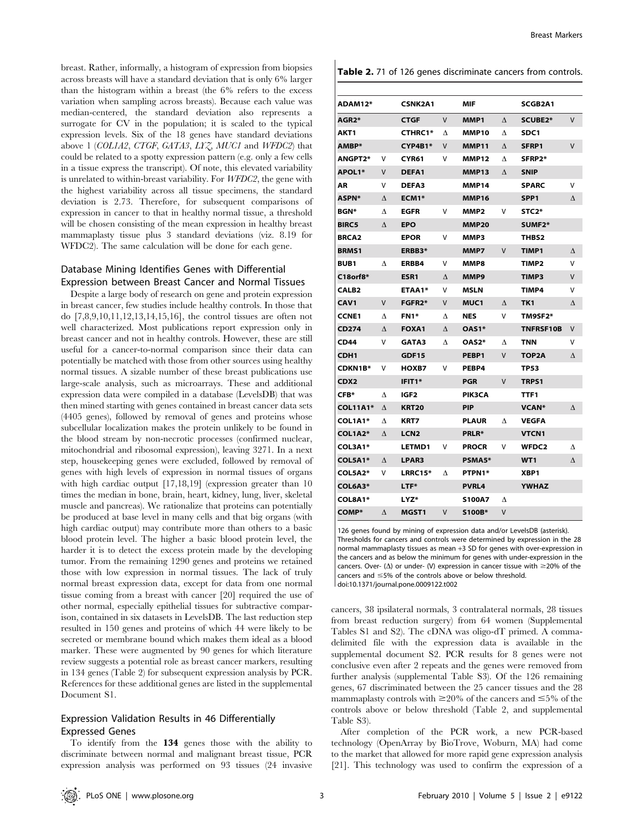breast. Rather, informally, a histogram of expression from biopsies across breasts will have a standard deviation that is only 6% larger than the histogram within a breast (the 6% refers to the excess variation when sampling across breasts). Because each value was median-centered, the standard deviation also represents a surrogate for CV in the population; it is scaled to the typical expression levels. Six of the 18 genes have standard deviations above 1 (COL1A2, CTGF, GATA3, LYZ, MUC1 and WFDC2) that could be related to a spotty expression pattern (e.g. only a few cells in a tissue express the transcript). Of note, this elevated variability is unrelated to within-breast variability. For WFDC2, the gene with the highest variability across all tissue specimens, the standard deviation is 2.73. Therefore, for subsequent comparisons of expression in cancer to that in healthy normal tissue, a threshold will be chosen consisting of the mean expression in healthy breast mammaplasty tissue plus 3 standard deviations (viz. 8.19 for WFDC2). The same calculation will be done for each gene.

# Database Mining Identifies Genes with Differential Expression between Breast Cancer and Normal Tissues

Despite a large body of research on gene and protein expression in breast cancer, few studies include healthy controls. In those that do [7,8,9,10,11,12,13,14,15,16], the control tissues are often not well characterized. Most publications report expression only in breast cancer and not in healthy controls. However, these are still useful for a cancer-to-normal comparison since their data can potentially be matched with those from other sources using healthy normal tissues. A sizable number of these breast publications use large-scale analysis, such as microarrays. These and additional expression data were compiled in a database (LevelsDB) that was then mined starting with genes contained in breast cancer data sets (4405 genes), followed by removal of genes and proteins whose subcellular localization makes the protein unlikely to be found in the blood stream by non-necrotic processes (confirmed nuclear, mitochondrial and ribosomal expression), leaving 3271. In a next step, housekeeping genes were excluded, followed by removal of genes with high levels of expression in normal tissues of organs with high cardiac output [17,18,19] (expression greater than 10 times the median in bone, brain, heart, kidney, lung, liver, skeletal muscle and pancreas). We rationalize that proteins can potentially be produced at base level in many cells and that big organs (with high cardiac output) may contribute more than others to a basic blood protein level. The higher a basic blood protein level, the harder it is to detect the excess protein made by the developing tumor. From the remaining 1290 genes and proteins we retained those with low expression in normal tissues. The lack of truly normal breast expression data, except for data from one normal tissue coming from a breast with cancer [20] required the use of other normal, especially epithelial tissues for subtractive comparison, contained in six datasets in LevelsDB. The last reduction step resulted in 150 genes and proteins of which 44 were likely to be secreted or membrane bound which makes them ideal as a blood marker. These were augmented by 90 genes for which literature review suggests a potential role as breast cancer markers, resulting in 134 genes (Table 2) for subsequent expression analysis by PCR. References for these additional genes are listed in the supplemental Document S1.

# Expression Validation Results in 46 Differentially Expressed Genes

To identify from the 134 genes those with the ability to discriminate between normal and malignant breast tissue, PCR expression analysis was performed on 93 tissues (24 invasive

| Table 2. 71 of 126 genes discriminate cancers from controls. |  |  |  |  |
|--------------------------------------------------------------|--|--|--|--|
|--------------------------------------------------------------|--|--|--|--|

| ADAM12*            |           | <b>CSNK2A1</b>      |           | MIF              |           | SCGB2A1             |   |
|--------------------|-----------|---------------------|-----------|------------------|-----------|---------------------|---|
| AGR <sub>2</sub> * |           | <b>CTGF</b>         | V         | MMP1             | $\Lambda$ | SCUBE2*             | V |
| AKT1               |           | <b>CTHRC1*</b>      | Λ         | MMP10            | л         | SDC <sub>1</sub>    |   |
| AMBP*              |           | CYP4B1*             | $\vee$    | <b>MMP11</b>     | $\Lambda$ | SFRP1               | V |
| <b>ANGPT2*</b>     | v         | CYR61               | v         | <b>MMP12</b>     | Δ         | SFRP2*              |   |
| APOL1*             | V         | DEFA1               |           | <b>MMP13</b>     | Δ         | <b>SNIP</b>         |   |
| ΑR                 | v         | DEFA3               |           | MMP14            |           | <b>SPARC</b>        | v |
| <b>ASPN*</b>       | Δ         | ECM1 <sup>*</sup>   |           | MMP16            |           | SPP <sub>1</sub>    | Δ |
| <b>BGN*</b>        | л         | <b>EGFR</b>         | v         | MMP <sub>2</sub> | v         | STC <sub>2</sub> *  |   |
| <b>BIRC5</b>       | $\Lambda$ | <b>EPO</b>          |           | <b>MMP20</b>     |           | SUMF <sub>2</sub> * |   |
| <b>BRCA2</b>       |           | <b>EPOR</b>         | v         | MMP3             |           | THBS <sub>2</sub>   |   |
| <b>BRMS1</b>       |           | ERBB3*              |           | MMP7             | V         | <b>TIMP1</b>        | Δ |
| <b>BUB1</b>        | л         | ERBB4               | v         | MMP8             |           | TIMP <sub>2</sub>   | V |
| C18orf8*           |           | ESR1                | $\Lambda$ | MMP9             |           | TIMP3               | V |
| CALB <sub>2</sub>  |           | ETAA1*              | V         | <b>MSLN</b>      |           | TIMP4               | V |
| CAV <sub>1</sub>   | V         | <b>FGFR2*</b>       | $\vee$    | MUC <sub>1</sub> | Δ         | TK <sub>1</sub>     | Δ |
| <b>CCNE1</b>       | Δ         | FN1*                | Δ         | <b>NES</b>       | V         | TM9SF2*             |   |
| <b>CD274</b>       | $\Lambda$ | <b>FOXA1</b>        | $\Lambda$ | OAS1*            |           | <b>TNFRSF10B</b>    | V |
| <b>CD44</b>        | ٧         | <b>GATA3</b>        | Δ         | OAS2*            | Δ         | <b>TNN</b>          | v |
| CDH <sub>1</sub>   |           | <b>GDF15</b>        |           | PEBP1            | v         | TOP2A               | Λ |
| <b>CDKN1B*</b>     | v         | HOXB7               | v         | PEBP4            |           | <b>TP53</b>         |   |
| CDX <sub>2</sub>   |           | IFIT <sub>1</sub> * |           | <b>PGR</b>       | v         | <b>TRPS1</b>        |   |
| CFB*               | Δ         | IGF2                |           | <b>PIK3CA</b>    |           | TTF1                |   |
| <b>COL11A1*</b>    | Δ         | <b>KRT20</b>        |           | <b>PIP</b>       |           | <b>VCAN</b> *       | Δ |
| COL1A1*            | л         | <b>KRT7</b>         |           | <b>PLAUR</b>     | л         | <b>VEGFA</b>        |   |
| <b>COL1A2*</b>     | $\wedge$  | LCN <sub>2</sub>    |           | PRLR*            |           | <b>VTCN1</b>        |   |
| COL3A1*            |           | LETMD1              | v         | <b>PROCR</b>     | v         | WFDC <sub>2</sub>   | Δ |
| COL5A1*            | $\wedge$  | LPAR3               |           | PSMA5*           |           | WT <sub>1</sub>     | Δ |
| COL5A2*            | v         | <b>LRRC15*</b>      | л         | PTPN1*           |           | XBP1                |   |
| COL6A3*            |           | <b>LTF*</b>         |           | <b>PVRL4</b>     |           | <b>YWHAZ</b>        |   |
| COL8A1*            |           | <b>LYZ*</b>         |           | <b>S100A7</b>    | Δ         |                     |   |
| <b>COMP*</b>       | Δ         | MGST1               | $\vee$    | S100B*           | V         |                     |   |

126 genes found by mining of expression data and/or LevelsDB (asterisk). Thresholds for cancers and controls were determined by expression in the 28 normal mammaplasty tissues as mean +3 SD for genes with over-expression in the cancers and as below the minimum for genes with under-expression in the cancers. Over- ( $\Delta$ ) or under- (V) expression in cancer tissue with  $\geq$ 20% of the cancers and  $\leq$ 5% of the controls above or below threshold.

doi:10.1371/journal.pone.0009122.t002

cancers, 38 ipsilateral normals, 3 contralateral normals, 28 tissues from breast reduction surgery) from 64 women (Supplemental Tables S1 and S2). The cDNA was oligo-dT primed. A commadelimited file with the expression data is available in the supplemental document S2. PCR results for 8 genes were not conclusive even after 2 repeats and the genes were removed from further analysis (supplemental Table S3). Of the 126 remaining genes, 67 discriminated between the 25 cancer tissues and the 28 mammaplasty controls with  $\geq$ 20% of the cancers and  $\leq$ 5% of the controls above or below threshold (Table 2, and supplemental Table S3).

After completion of the PCR work, a new PCR-based technology (OpenArray by BioTrove, Woburn, MA) had come to the market that allowed for more rapid gene expression analysis [21]. This technology was used to confirm the expression of a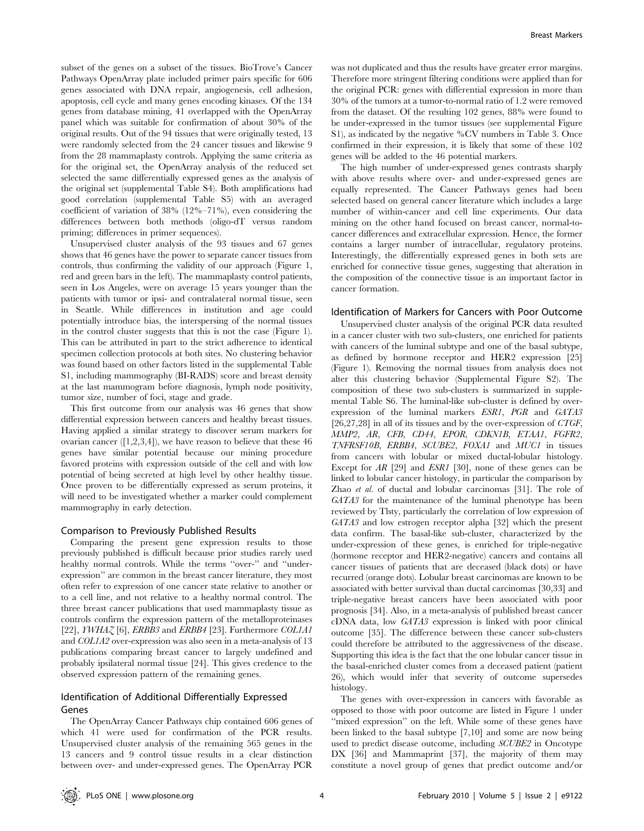subset of the genes on a subset of the tissues. BioTrove's Cancer Pathways OpenArray plate included primer pairs specific for 606 genes associated with DNA repair, angiogenesis, cell adhesion, apoptosis, cell cycle and many genes encoding kinases. Of the 134 genes from database mining, 41 overlapped with the OpenArray panel which was suitable for confirmation of about 30% of the original results. Out of the 94 tissues that were originally tested, 13 were randomly selected from the 24 cancer tissues and likewise 9 from the 28 mammaplasty controls. Applying the same criteria as for the original set, the OpenArray analysis of the reduced set selected the same differentially expressed genes as the analysis of the original set (supplemental Table S4). Both amplifications had good correlation (supplemental Table S5) with an averaged coefficient of variation of 38% (12%–71%), even considering the differences between both methods (oligo-dT versus random priming; differences in primer sequences).

Unsupervised cluster analysis of the 93 tissues and 67 genes shows that 46 genes have the power to separate cancer tissues from controls, thus confirming the validity of our approach (Figure 1, red and green bars in the left). The mammaplasty control patients, seen in Los Angeles, were on average 15 years younger than the patients with tumor or ipsi- and contralateral normal tissue, seen in Seattle. While differences in institution and age could potentially introduce bias, the interspersing of the normal tissues in the control cluster suggests that this is not the case (Figure 1). This can be attributed in part to the strict adherence to identical specimen collection protocols at both sites. No clustering behavior was found based on other factors listed in the supplemental Table S1, including mammography (BI-RADS) score and breast density at the last mammogram before diagnosis, lymph node positivity, tumor size, number of foci, stage and grade.

This first outcome from our analysis was 46 genes that show differential expression between cancers and healthy breast tissues. Having applied a similar strategy to discover serum markers for ovarian cancer  $([1,2,3,4])$ , we have reason to believe that these 46 genes have similar potential because our mining procedure favored proteins with expression outside of the cell and with low potential of being secreted at high level by other healthy tissue. Once proven to be differentially expressed as serum proteins, it will need to be investigated whether a marker could complement mammography in early detection.

#### Comparison to Previously Published Results

Comparing the present gene expression results to those previously published is difficult because prior studies rarely used healthy normal controls. While the terms "over-" and "underexpression'' are common in the breast cancer literature, they most often refer to expression of one cancer state relative to another or to a cell line, and not relative to a healthy normal control. The three breast cancer publications that used mammaplasty tissue as controls confirm the expression pattern of the metalloproteinases [22],  $\text{IWHA}$  $\zeta$  [6],  $\text{ERBB}3$  and  $\text{ERBB}4$  [23]. Furthermore COL1A1 and COL1A2 over-expression was also seen in a meta-analysis of 13 publications comparing breast cancer to largely undefined and probably ipsilateral normal tissue [24]. This gives credence to the observed expression pattern of the remaining genes.

# Identification of Additional Differentially Expressed Genes

The OpenArray Cancer Pathways chip contained 606 genes of which 41 were used for confirmation of the PCR results. Unsupervised cluster analysis of the remaining 565 genes in the 13 cancers and 9 control tissue results in a clear distinction between over- and under-expressed genes. The OpenArray PCR

was not duplicated and thus the results have greater error margins. Therefore more stringent filtering conditions were applied than for the original PCR: genes with differential expression in more than 30% of the tumors at a tumor-to-normal ratio of 1.2 were removed from the dataset. Of the resulting 102 genes, 88% were found to be under-expressed in the tumor tissues (see supplemental Figure S1), as indicated by the negative %CV numbers in Table 3. Once confirmed in their expression, it is likely that some of these 102 genes will be added to the 46 potential markers.

The high number of under-expressed genes contrasts sharply with above results where over- and under-expressed genes are equally represented. The Cancer Pathways genes had been selected based on general cancer literature which includes a large number of within-cancer and cell line experiments. Our data mining on the other hand focused on breast cancer, normal-tocancer differences and extracellular expression. Hence, the former contains a larger number of intracellular, regulatory proteins. Interestingly, the differentially expressed genes in both sets are enriched for connective tissue genes, suggesting that alteration in the composition of the connective tissue is an important factor in cancer formation.

#### Identification of Markers for Cancers with Poor Outcome

Unsupervised cluster analysis of the original PCR data resulted in a cancer cluster with two sub-clusters, one enriched for patients with cancers of the luminal subtype and one of the basal subtype, as defined by hormone receptor and HER2 expression [25] (Figure 1). Removing the normal tissues from analysis does not alter this clustering behavior (Supplemental Figure S2). The composition of these two sub-clusters is summarized in supplemental Table S6. The luminal-like sub-cluster is defined by overexpression of the luminal markers ESR1, PGR and GATA3  $[26,27,28]$  in all of its tissues and by the over-expression of CTGF, MMP2, AR, CFB, CD44, EPOR, CDKN1B, ETAA1, FGFR2, TNFRSF10B, ERBB4, SCUBE2, FOXA1 and MUC1 in tissues from cancers with lobular or mixed ductal-lobular histology. Except for AR [29] and ESR1 [30], none of these genes can be linked to lobular cancer histology, in particular the comparison by Zhao et al. of ductal and lobular carcinomas [31]. The role of GATA3 for the maintenance of the luminal phenotype has been reviewed by Tlsty, particularly the correlation of low expression of GATA3 and low estrogen receptor alpha [32] which the present data confirm. The basal-like sub-cluster, characterized by the under-expression of these genes, is enriched for triple-negative (hormone receptor and HER2-negative) cancers and contains all cancer tissues of patients that are deceased (black dots) or have recurred (orange dots). Lobular breast carcinomas are known to be associated with better survival than ductal carcinomas [30,33] and triple-negative breast cancers have been associated with poor prognosis [34]. Also, in a meta-analysis of published breast cancer cDNA data, low GATA3 expression is linked with poor clinical outcome [35]. The difference between these cancer sub-clusters could therefore be attributed to the aggressiveness of the disease. Supporting this idea is the fact that the one lobular cancer tissue in the basal-enriched cluster comes from a deceased patient (patient 26), which would infer that severity of outcome supersedes histology.

The genes with over-expression in cancers with favorable as opposed to those with poor outcome are listed in Figure 1 under "mixed expression" on the left. While some of these genes have been linked to the basal subtype [7,10] and some are now being used to predict disease outcome, including SCUBE2 in Oncotype DX [36] and Mammaprint [37], the majority of them may constitute a novel group of genes that predict outcome and/or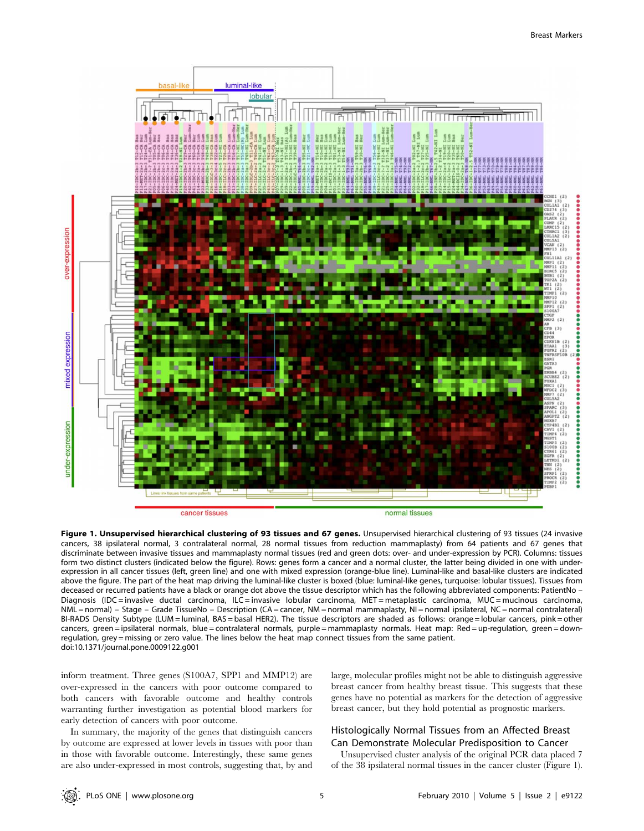

Figure 1. Unsupervised hierarchical clustering of 93 tissues and 67 genes. Unsupervised hierarchical clustering of 93 tissues (24 invasive cancers, 38 ipsilateral normal, 3 contralateral normal, 28 normal tissues from reduction mammaplasty) from 64 patients and 67 genes that discriminate between invasive tissues and mammaplasty normal tissues (red and green dots: over- and under-expression by PCR). Columns: tissues form two distinct clusters (indicated below the figure). Rows: genes form a cancer and a normal cluster, the latter being divided in one with underexpression in all cancer tissues (left, green line) and one with mixed expression (orange-blue line). Luminal-like and basal-like clusters are indicated above the figure. The part of the heat map driving the luminal-like cluster is boxed (blue: luminal-like genes, turquoise: lobular tissues). Tissues from deceased or recurred patients have a black or orange dot above the tissue descriptor which has the following abbreviated components: PatientNo – Diagnosis (IDC = invasive ductal carcinoma, ILC = invasive lobular carcinoma, MET = metaplastic carcinoma, MUC = mucinous carcinoma, NML = normal) – Stage – Grade TissueNo – Description (CA = cancer, NM = normal mammaplasty, NI = normal ipsilateral, NC = normal contralateral) BI-RADS Density Subtype (LUM = luminal, BAS = basal HER2). The tissue descriptors are shaded as follows: orange = lobular cancers, pink = other cancers, green = ipsilateral normals, blue = contralateral normals, purple = mammaplasty normals. Heat map: Red = up-regulation, green = downregulation, grey = missing or zero value. The lines below the heat map connect tissues from the same patient. doi:10.1371/journal.pone.0009122.g001

inform treatment. Three genes (S100A7, SPP1 and MMP12) are over-expressed in the cancers with poor outcome compared to both cancers with favorable outcome and healthy controls warranting further investigation as potential blood markers for early detection of cancers with poor outcome.

In summary, the majority of the genes that distinguish cancers by outcome are expressed at lower levels in tissues with poor than in those with favorable outcome. Interestingly, these same genes are also under-expressed in most controls, suggesting that, by and

large, molecular profiles might not be able to distinguish aggressive breast cancer from healthy breast tissue. This suggests that these genes have no potential as markers for the detection of aggressive breast cancer, but they hold potential as prognostic markers.

# Histologically Normal Tissues from an Affected Breast Can Demonstrate Molecular Predisposition to Cancer

Unsupervised cluster analysis of the original PCR data placed 7 of the 38 ipsilateral normal tissues in the cancer cluster (Figure 1).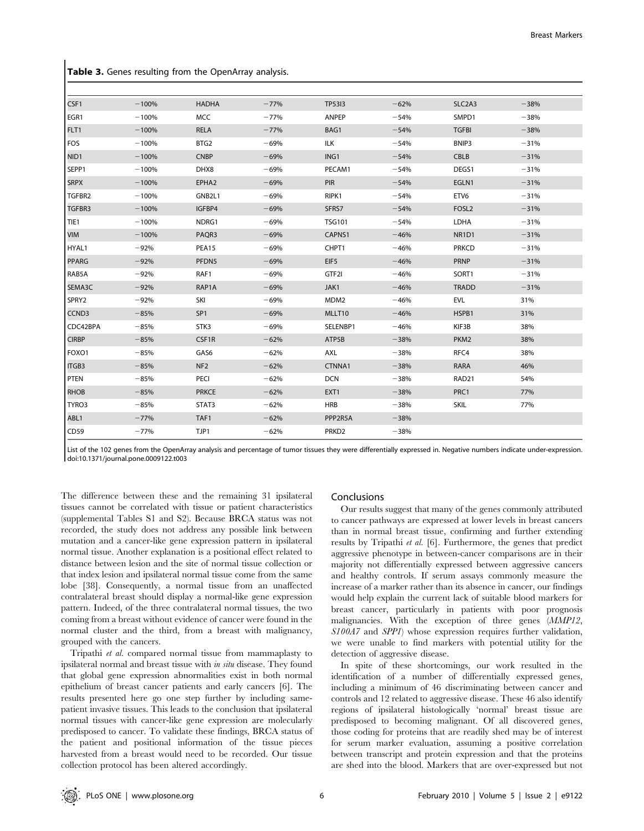|  |  |  |  |  | Table 3. Genes resulting from the OpenArray analysis. |  |  |
|--|--|--|--|--|-------------------------------------------------------|--|--|
|--|--|--|--|--|-------------------------------------------------------|--|--|

| CSF1         | $-100%$ | <b>HADHA</b>    | $-77%$ | <b>TP53I3</b>     | $-62%$ | SLC <sub>2</sub> A <sub>3</sub> | $-38%$ |
|--------------|---------|-----------------|--------|-------------------|--------|---------------------------------|--------|
| EGR1         | $-100%$ | <b>MCC</b>      | $-77%$ | ANPEP             | $-54%$ | SMPD1                           | $-38%$ |
| FLT1         | $-100%$ | RELA            | $-77%$ | BAG1              | $-54%$ | <b>TGFBI</b>                    | $-38%$ |
| FOS          | $-100%$ | BTG2            | $-69%$ | <b>ILK</b>        | $-54%$ | BNIP3                           | $-31%$ |
| NID1         | $-100%$ | <b>CNBP</b>     | $-69%$ | ING1              | $-54%$ | CBLB                            | $-31%$ |
| SEPP1        | $-100%$ | DHX8            | $-69%$ | PECAM1            | $-54%$ | DEGS1                           | $-31%$ |
| <b>SRPX</b>  | $-100%$ | EPHA2           | $-69%$ | PIR               | $-54%$ | EGLN1                           | $-31%$ |
| TGFBR2       | $-100%$ | GNB2L1          | $-69%$ | RIPK1             | $-54%$ | ETV <sub>6</sub>                | $-31%$ |
| TGFBR3       | $-100%$ | IGFBP4          | $-69%$ | SFRS7             | $-54%$ | FOSL <sub>2</sub>               | $-31%$ |
| TIE1         | $-100%$ | NDRG1           | $-69%$ | <b>TSG101</b>     | $-54%$ | LDHA                            | $-31%$ |
| <b>VIM</b>   | $-100%$ | PAQR3           | $-69%$ | CAPNS1            | $-46%$ | NR1D1                           | $-31%$ |
| HYAL1        | $-92%$  | PEA15           | $-69%$ | CHPT1             | $-46%$ | <b>PRKCD</b>                    | $-31%$ |
| <b>PPARG</b> | $-92%$  | PFDN5           | $-69%$ | EIF <sub>5</sub>  | $-46%$ | <b>PRNP</b>                     | $-31%$ |
| RAB5A        | $-92%$  | RAF1            | $-69%$ | GTF2I             | $-46%$ | SORT1                           | $-31%$ |
| SEMA3C       | $-92%$  | RAP1A           | $-69%$ | JAK1              | $-46%$ | <b>TRADD</b>                    | $-31%$ |
| SPRY2        | $-92%$  | SKI             | $-69%$ | MDM <sub>2</sub>  | $-46%$ | <b>EVL</b>                      | 31%    |
| CCND3        | $-85%$  | SP <sub>1</sub> | $-69%$ | MLLT10            | $-46%$ | HSPB1                           | 31%    |
| CDC42BPA     | $-85%$  | STK3            | $-69%$ | SELENBP1          | $-46%$ | KIF3B                           | 38%    |
| <b>CIRBP</b> | $-85%$  | CSF1R           | $-62%$ | ATP5B             | $-38%$ | PKM2                            | 38%    |
| FOXO1        | $-85%$  | GAS6            | $-62%$ | AXL               | $-38%$ | RFC4                            | 38%    |
| <b>ITGB3</b> | $-85%$  | NF <sub>2</sub> | $-62%$ | CTNNA1            | $-38%$ | RARA                            | 46%    |
| PTEN         | $-85%$  | PECI            | $-62%$ | <b>DCN</b>        | $-38%$ | RAD21                           | 54%    |
| <b>RHOB</b>  | $-85%$  | <b>PRKCE</b>    | $-62%$ | EXT1              | $-38%$ | PRC1                            | 77%    |
| TYRO3        | $-85%$  | STAT3           | $-62%$ | <b>HRB</b>        | $-38%$ | SKIL                            | 77%    |
| ABL1         | $-77%$  | TAF1            | $-62%$ | PPP2R5A           | $-38%$ |                                 |        |
| CD59         | $-77%$  | TJP1            | $-62%$ | PRKD <sub>2</sub> | $-38%$ |                                 |        |

List of the 102 genes from the OpenArray analysis and percentage of tumor tissues they were differentially expressed in. Negative numbers indicate under-expression. doi:10.1371/journal.pone.0009122.t003

The difference between these and the remaining 31 ipsilateral tissues cannot be correlated with tissue or patient characteristics (supplemental Tables S1 and S2). Because BRCA status was not recorded, the study does not address any possible link between mutation and a cancer-like gene expression pattern in ipsilateral normal tissue. Another explanation is a positional effect related to distance between lesion and the site of normal tissue collection or that index lesion and ipsilateral normal tissue come from the same lobe [38]. Consequently, a normal tissue from an unaffected contralateral breast should display a normal-like gene expression pattern. Indeed, of the three contralateral normal tissues, the two coming from a breast without evidence of cancer were found in the normal cluster and the third, from a breast with malignancy, grouped with the cancers.

Tripathi et al. compared normal tissue from mammaplasty to ipsilateral normal and breast tissue with in situ disease. They found that global gene expression abnormalities exist in both normal epithelium of breast cancer patients and early cancers [6]. The results presented here go one step further by including samepatient invasive tissues. This leads to the conclusion that ipsilateral normal tissues with cancer-like gene expression are molecularly predisposed to cancer. To validate these findings, BRCA status of the patient and positional information of the tissue pieces harvested from a breast would need to be recorded. Our tissue collection protocol has been altered accordingly.

#### Conclusions

Our results suggest that many of the genes commonly attributed to cancer pathways are expressed at lower levels in breast cancers than in normal breast tissue, confirming and further extending results by Tripathi et al. [6]. Furthermore, the genes that predict aggressive phenotype in between-cancer comparisons are in their majority not differentially expressed between aggressive cancers and healthy controls. If serum assays commonly measure the increase of a marker rather than its absence in cancer, our findings would help explain the current lack of suitable blood markers for breast cancer, particularly in patients with poor prognosis malignancies. With the exception of three genes (MMP12, S100A7 and SPP1) whose expression requires further validation, we were unable to find markers with potential utility for the detection of aggressive disease.

In spite of these shortcomings, our work resulted in the identification of a number of differentially expressed genes, including a minimum of 46 discriminating between cancer and controls and 12 related to aggressive disease. These 46 also identify regions of ipsilateral histologically 'normal' breast tissue are predisposed to becoming malignant. Of all discovered genes, those coding for proteins that are readily shed may be of interest for serum marker evaluation, assuming a positive correlation between transcript and protein expression and that the proteins are shed into the blood. Markers that are over-expressed but not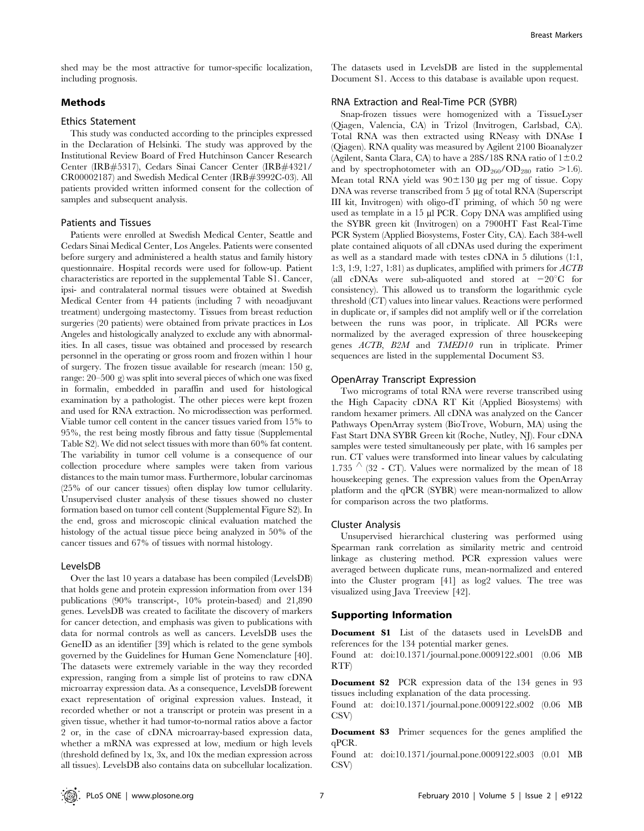shed may be the most attractive for tumor-specific localization, including prognosis.

# Methods

### Ethics Statement

This study was conducted according to the principles expressed in the Declaration of Helsinki. The study was approved by the Institutional Review Board of Fred Hutchinson Cancer Research Center (IRB#5317), Cedars Sinai Cancer Center (IRB#4321/ CR00002187) and Swedish Medical Center (IRB#3992C-03). All patients provided written informed consent for the collection of samples and subsequent analysis.

#### Patients and Tissues

Patients were enrolled at Swedish Medical Center, Seattle and Cedars Sinai Medical Center, Los Angeles. Patients were consented before surgery and administered a health status and family history questionnaire. Hospital records were used for follow-up. Patient characteristics are reported in the supplemental Table S1. Cancer, ipsi- and contralateral normal tissues were obtained at Swedish Medical Center from 44 patients (including 7 with neoadjuvant treatment) undergoing mastectomy. Tissues from breast reduction surgeries (20 patients) were obtained from private practices in Los Angeles and histologically analyzed to exclude any with abnormalities. In all cases, tissue was obtained and processed by research personnel in the operating or gross room and frozen within 1 hour of surgery. The frozen tissue available for research (mean: 150 g, range: 20–500 g) was split into several pieces of which one was fixed in formalin, embedded in paraffin and used for histological examination by a pathologist. The other pieces were kept frozen and used for RNA extraction. No microdissection was performed. Viable tumor cell content in the cancer tissues varied from 15% to 95%, the rest being mostly fibrous and fatty tissue (Supplemental Table S2). We did not select tissues with more than 60% fat content. The variability in tumor cell volume is a consequence of our collection procedure where samples were taken from various distances to the main tumor mass. Furthermore, lobular carcinomas (25% of our cancer tissues) often display low tumor cellularity. Unsupervised cluster analysis of these tissues showed no cluster formation based on tumor cell content (Supplemental Figure S2). In the end, gross and microscopic clinical evaluation matched the histology of the actual tissue piece being analyzed in 50% of the cancer tissues and 67% of tissues with normal histology.

#### LevelsDB

Over the last 10 years a database has been compiled (LevelsDB) that holds gene and protein expression information from over 134 publications (90% transcript-, 10% protein-based) and 21,890 genes. LevelsDB was created to facilitate the discovery of markers for cancer detection, and emphasis was given to publications with data for normal controls as well as cancers. LevelsDB uses the GeneID as an identifier [39] which is related to the gene symbols governed by the Guidelines for Human Gene Nomenclature [40]. The datasets were extremely variable in the way they recorded expression, ranging from a simple list of proteins to raw cDNA microarray expression data. As a consequence, LevelsDB forewent exact representation of original expression values. Instead, it recorded whether or not a transcript or protein was present in a given tissue, whether it had tumor-to-normal ratios above a factor 2 or, in the case of cDNA microarray-based expression data, whether a mRNA was expressed at low, medium or high levels (threshold defined by 1x, 3x, and 10x the median expression across all tissues). LevelsDB also contains data on subcellular localization.

The datasets used in LevelsDB are listed in the supplemental Document S1. Access to this database is available upon request.

# RNA Extraction and Real-Time PCR (SYBR)

Snap-frozen tissues were homogenized with a TissueLyser (Qiagen, Valencia, CA) in Trizol (Invitrogen, Carlsbad, CA). Total RNA was then extracted using RNeasy with DNAse I (Qiagen). RNA quality was measured by Agilent 2100 Bioanalyzer (Agilent, Santa Clara, CA) to have a 28S/18S RNA ratio of  $1\pm0.2$ and by spectrophotometer with an  $OD_{260}/OD_{280}$  ratio  $>1.6$ ). Mean total RNA yield was  $90 \pm 130$  ug per mg of tissue. Copy DNA was reverse transcribed from 5 µg of total RNA (Superscript III kit, Invitrogen) with oligo-dT priming, of which 50 ng were used as template in a 15 µl PCR. Copy DNA was amplified using the SYBR green kit (Invitrogen) on a 7900HT Fast Real-Time PCR System (Applied Biosystems, Foster City, CA). Each 384-well plate contained aliquots of all cDNAs used during the experiment as well as a standard made with testes cDNA in 5 dilutions (1:1, 1:3, 1:9, 1:27, 1:81) as duplicates, amplified with primers for ACTB (all cDNAs were sub-aliquoted and stored at  $-20^{\circ}$ C for consistency). This allowed us to transform the logarithmic cycle threshold (CT) values into linear values. Reactions were performed in duplicate or, if samples did not amplify well or if the correlation between the runs was poor, in triplicate. All PCRs were normalized by the averaged expression of three housekeeping genes ACTB, B2M and TMED10 run in triplicate. Primer sequences are listed in the supplemental Document S3.

#### OpenArray Transcript Expression

Two micrograms of total RNA were reverse transcribed using the High Capacity cDNA RT Kit (Applied Biosystems) with random hexamer primers. All cDNA was analyzed on the Cancer Pathways OpenArray system (BioTrove, Woburn, MA) using the Fast Start DNA SYBR Green kit (Roche, Nutley, NJ). Four cDNA samples were tested simultaneously per plate, with 16 samples per run. CT values were transformed into linear values by calculating 1.735  $\prime\prime$  (32 - CT). Values were normalized by the mean of 18 housekeeping genes. The expression values from the OpenArray platform and the qPCR (SYBR) were mean-normalized to allow for comparison across the two platforms.

#### Cluster Analysis

Unsupervised hierarchical clustering was performed using Spearman rank correlation as similarity metric and centroid linkage as clustering method. PCR expression values were averaged between duplicate runs, mean-normalized and entered into the Cluster program [41] as log2 values. The tree was visualized using Java Treeview [42].

# Supporting Information

Document S1 List of the datasets used in LevelsDB and references for the 134 potential marker genes.

Found at: doi:10.1371/journal.pone.0009122.s001 (0.06 MB RTF)

Document S2 PCR expression data of the 134 genes in 93 tissues including explanation of the data processing.

Found at: doi:10.1371/journal.pone.0009122.s002 (0.06 MB CSV)

Document S3 Primer sequences for the genes amplified the qPCR.

Found at: doi:10.1371/journal.pone.0009122.s003 (0.01 MB CSV)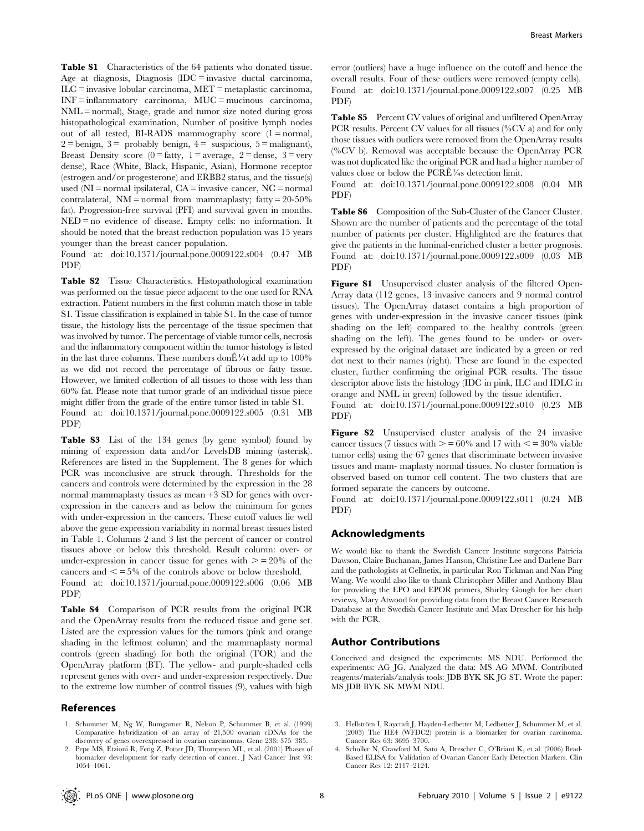Table S1 Characteristics of the 64 patients who donated tissue. Age at diagnosis, Diagnosis (IDC = invasive ductal carcinoma, ILC = invasive lobular carcinoma, MET = metaplastic carcinoma, INF = inflammatory carcinoma, MUC = mucinous carcinoma, NML = normal), Stage, grade and tumor size noted during gross histopathological examination, Number of positive lymph nodes out of all tested, BI-RADS mammography score  $(1 = normal,$  $2 = \text{benign}, 3 = \text{probability benign}, 4 = \text{surpicious}, 5 = \text{malignant}$ Breast Density score  $(0 = \text{fatty}, 1 = \text{average}, 2 = \text{dense}, 3 = \text{very})$ dense), Race (White, Black, Hispanic, Asian), Hormone receptor (estrogen and/or progesterone) and ERBB2 status, and the tissue(s) used (NI = normal ipsilateral, CA = invasive cancer, NC = normal contralateral,  $NM =$  normal from mammaplasty; fatty = 20-50% fat). Progression-free survival (PFI) and survival given in months. NED = no evidence of disease. Empty cells: no information. It should be noted that the breast reduction population was 15 years younger than the breast cancer population.

Found at: doi:10.1371/journal.pone.0009122.s004 (0.47 MB PDF)

Table S2 Tissue Characteristics. Histopathological examination was performed on the tissue piece adjacent to the one used for RNA extraction. Patient numbers in the first column match those in table S1. Tissue classification is explained in table S1. In the case of tumor tissue, the histology lists the percentage of the tissue specimen that was involved by tumor. The percentage of viable tumor cells, necrosis and the inflammatory component within the tumor histology is listed in the last three columns. These numbers don $\triangle^1/4$ t add up to 100% as we did not record the percentage of fibrous or fatty tissue. However, we limited collection of all tissues to those with less than 60% fat. Please note that tumor grade of an individual tissue piece might differ from the grade of the entire tumor listed in table S1. Found at: doi:10.1371/journal.pone.0009122.s005 (0.31 MB PDF)

Table S3 List of the 134 genes (by gene symbol) found by mining of expression data and/or LevelsDB mining (asterisk). References are listed in the Supplement. The 8 genes for which PCR was inconclusive are struck through. Thresholds for the cancers and controls were determined by the expression in the 28 normal mammaplasty tissues as mean +3 SD for genes with overexpression in the cancers and as below the minimum for genes with under-expression in the cancers. These cutoff values lie well above the gene expression variability in normal breast tissues listed in Table 1. Columns 2 and 3 list the percent of cancer or control tissues above or below this threshold. Result column: over- or under-expression in cancer tissue for genes with  $\ge$  = 20% of the cancers and  $\leq$  = 5% of the controls above or below threshold. Found at: doi:10.1371/journal.pone.0009122.s006 (0.06 MB PDF)

Table S4 Comparison of PCR results from the original PCR and the OpenArray results from the reduced tissue and gene set. Listed are the expression values for the tumors (pink and orange shading in the leftmost column) and the mammaplasty normal controls (green shading) for both the original (TOR) and the OpenArray platform (BT). The yellow- and purple-shaded cells represent genes with over- and under-expression respectively. Due to the extreme low number of control tissues (9), values with high

#### References

1. Schummer M, Ng W, Bumgarner R, Nelson P, Schummer B, et al. (1999) Comparative hybridization of an array of 21,500 ovarian cDNAs for the discovery of genes overexpressed in ovarian carcinomas. Gene 238: 375–385.

error (outliers) have a huge influence on the cutoff and hence the overall results. Four of these outliers were removed (empty cells). Found at: doi:10.1371/journal.pone.0009122.s007 (0.25 MB PDF)

Table S5 Percent CV values of original and unfiltered OpenArray PCR results. Percent CV values for all tissues (%CV a) and for only those tissues with outliers were removed from the OpenArray results (%CV b). Removal was acceptable because the OpenArray PCR was not duplicated like the original PCR and had a higher number of values close or below the  $PCRÉ\frac{1}{4}$ s detection limit.

Found at: doi:10.1371/journal.pone.0009122.s008 (0.04 MB PDF)

Table S6 Composition of the Sub-Cluster of the Cancer Cluster. Shown are the number of patients and the percentage of the total number of patients per cluster. Highlighted are the features that give the patients in the luminal-enriched cluster a better prognosis. Found at: doi:10.1371/journal.pone.0009122.s009 (0.03 MB PDF)

Figure S1 Unsupervised cluster analysis of the filtered Open-Array data (112 genes, 13 invasive cancers and 9 normal control tissues). The OpenArray dataset contains a high proportion of genes with under-expression in the invasive cancer tissues (pink shading on the left) compared to the healthy controls (green shading on the left). The genes found to be under- or overexpressed by the original dataset are indicated by a green or red dot next to their names (right). These are found in the expected cluster, further confirming the original PCR results. The tissue descriptor above lists the histology (IDC in pink, ILC and IDLC in orange and NML in green) followed by the tissue identifier.

Found at: doi:10.1371/journal.pone.0009122.s010 (0.23 MB PDF)

Figure S2 Unsupervised cluster analysis of the 24 invasive cancer tissues (7 tissues with  $\ge$  = 60% and 17 with  $\lt$  = 30% viable tumor cells) using the 67 genes that discriminate between invasive tissues and mam- maplasty normal tissues. No cluster formation is observed based on tumor cell content. The two clusters that are formed separate the cancers by outcome.

Found at: doi:10.1371/journal.pone.0009122.s011 (0.24 MB PDF)

#### Acknowledgments

We would like to thank the Swedish Cancer Institute surgeons Patricia Dawson, Claire Buchanan, James Hanson, Christine Lee and Darlene Barr and the pathologists at Cellnetix, in particular Ron Tickman and Nan Ping Wang. We would also like to thank Christopher Miller and Anthony Blau for providing the EPO and EPOR primers, Shirley Gough for her chart reviews, Mary Atwood for providing data from the Breast Cancer Research Database at the Swedish Cancer Institute and Max Drescher for his help with the PCR.

#### Author Contributions

Conceived and designed the experiments: MS NDU. Performed the experiments: AG JG. Analyzed the data: MS AG MWM. Contributed reagents/materials/analysis tools: JDB BYK SK JG ST. Wrote the paper: MS JDB BYK SK MWM NDU.

- 3. Hellström I, Raycraft J, Hayden-Ledbetter M, Ledbetter J, Schummer M, et al. (2003) The HE4 (WFDC2) protein is a biomarker for ovarian carcinoma. Cancer Res 63: 3695–3700.
- 4. Scholler N, Crawford M, Sato A, Drescher C, O'Briant K, et al. (2006) Bead-Based ELISA for Validation of Ovarian Cancer Early Detection Markers. Clin Cancer Res 12: 2117–2124.